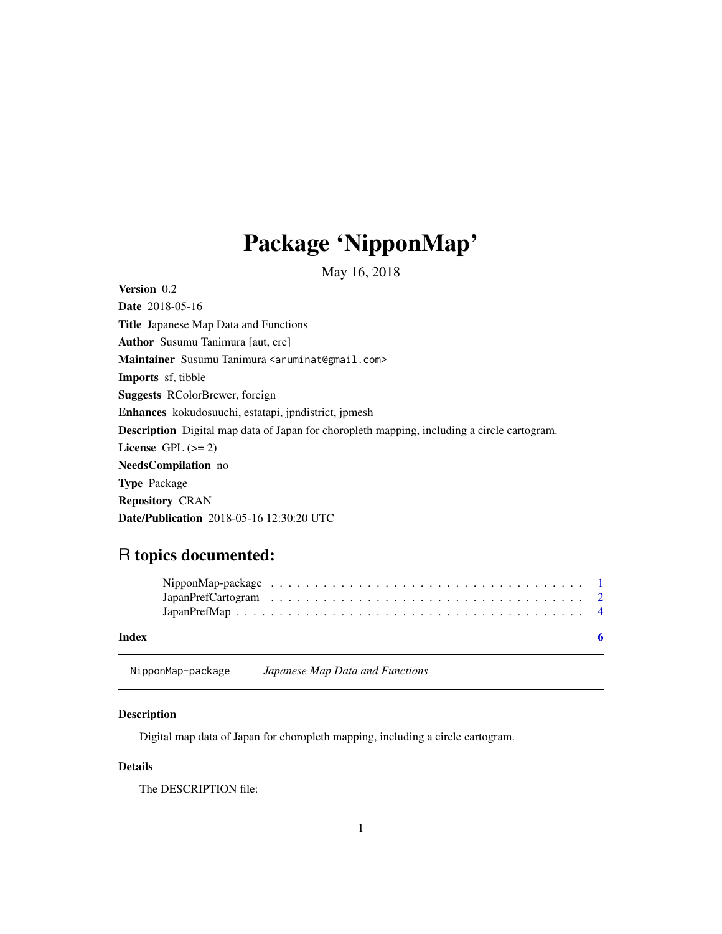## <span id="page-0-0"></span>Package 'NipponMap'

May 16, 2018

<span id="page-0-1"></span>Version 0.2 Date 2018-05-16 Title Japanese Map Data and Functions Author Susumu Tanimura [aut, cre] Maintainer Susumu Tanimura <aruminat@gmail.com> Imports sf, tibble Suggests RColorBrewer, foreign Enhances kokudosuuchi, estatapi, jpndistrict, jpmesh Description Digital map data of Japan for choropleth mapping, including a circle cartogram. License GPL  $(>= 2)$ NeedsCompilation no Type Package Repository CRAN Date/Publication 2018-05-16 12:30:20 UTC

### R topics documented:

| Index |  |  |  |  |  |  |  |  |  |  |  |  |  |  |  |  |  |
|-------|--|--|--|--|--|--|--|--|--|--|--|--|--|--|--|--|--|

#### NipponMap-package *Japanese Map Data and Functions*

#### Description

Digital map data of Japan for choropleth mapping, including a circle cartogram.

#### Details

The DESCRIPTION file: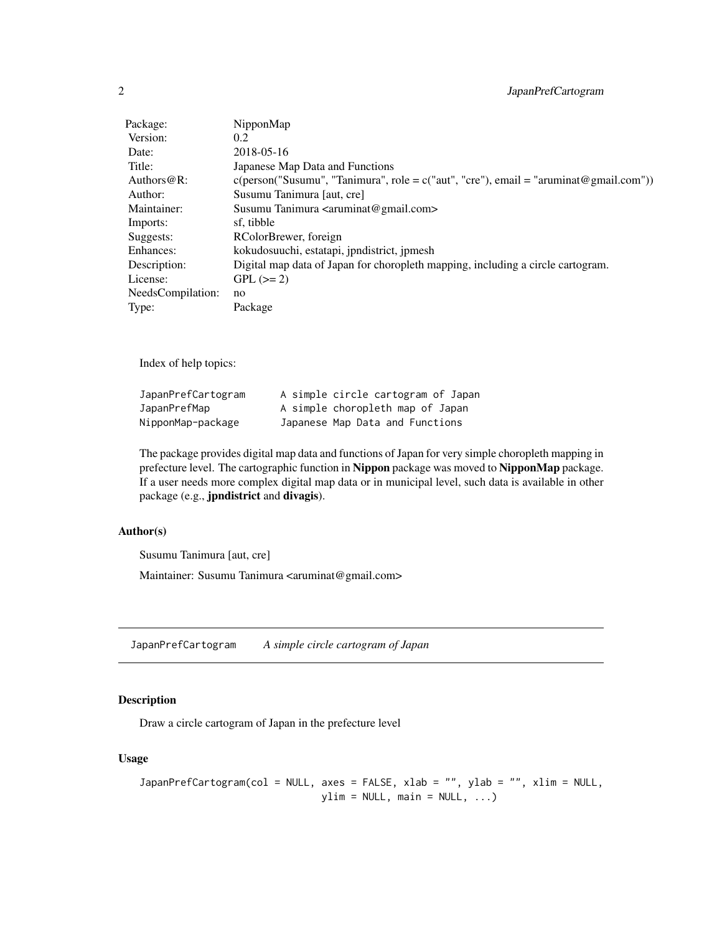<span id="page-1-0"></span>

| Package:          | NipponMap                                                                                       |
|-------------------|-------------------------------------------------------------------------------------------------|
| Version:          | 0.2                                                                                             |
| Date:             | 2018-05-16                                                                                      |
| Title:            | Japanese Map Data and Functions                                                                 |
| Authors $@R$ :    | $c(\text{person("Susumu", "Tanimura", role = } c("aut", "cre"), email = "aruminat@gmail.com"))$ |
| Author:           | Susumu Tanimura [aut, cre]                                                                      |
| Maintainer:       | Susumu Tanimura <aruminat@gmail.com></aruminat@gmail.com>                                       |
| Imports:          | sf, tibble                                                                                      |
| Suggests:         | RColorBrewer, foreign                                                                           |
| Enhances:         | kokudosuuchi, estatapi, jpndistrict, jpmesh                                                     |
| Description:      | Digital map data of Japan for choropleth mapping, including a circle cartogram.                 |
| License:          | $GPL (=2)$                                                                                      |
| NeedsCompilation: | no                                                                                              |
| Type:             | Package                                                                                         |

Index of help topics:

| JapanPrefCartogram | A simple circle cartogram of Japan |  |  |  |  |
|--------------------|------------------------------------|--|--|--|--|
| JapanPrefMap       | A simple choropleth map of Japan   |  |  |  |  |
| NipponMap-package  | Japanese Map Data and Functions    |  |  |  |  |

The package provides digital map data and functions of Japan for very simple choropleth mapping in prefecture level. The cartographic function in Nippon package was moved to NipponMap package. If a user needs more complex digital map data or in municipal level, such data is available in other package (e.g., jpndistrict and divagis).

#### Author(s)

Susumu Tanimura [aut, cre]

Maintainer: Susumu Tanimura <aruminat@gmail.com>

JapanPrefCartogram *A simple circle cartogram of Japan*

#### Description

Draw a circle cartogram of Japan in the prefecture level

#### Usage

```
JapanPrefCartogram(col = NULL, axes = FALSE, xlab = "", ylab = "", xlim = NULL,
                              ylim = NULL, main = NULL, ...)
```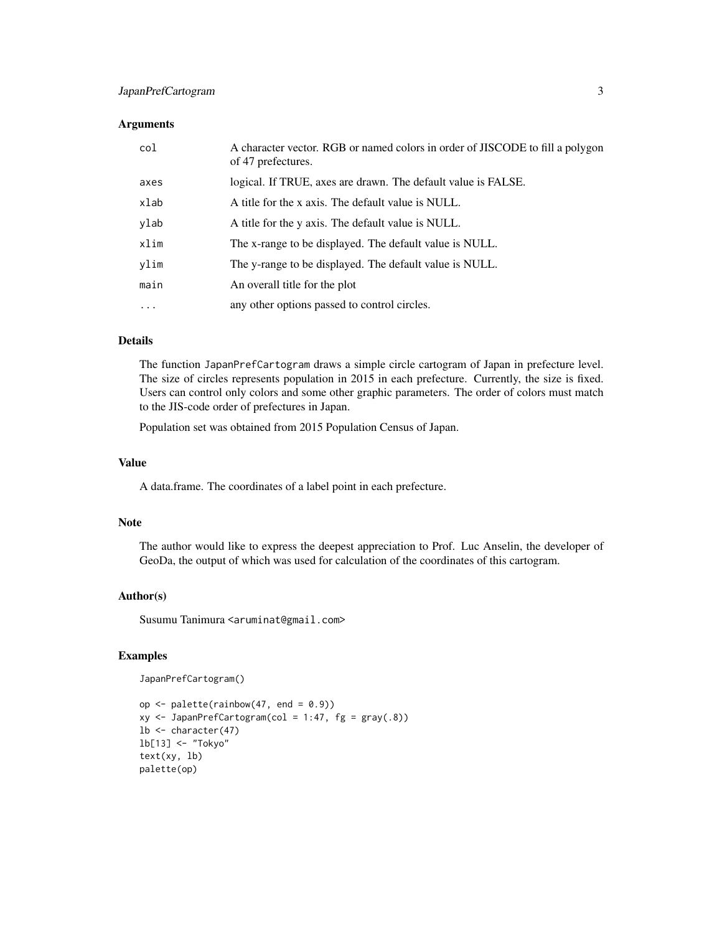#### JapanPrefCartogram 3

#### **Arguments**

| col       | A character vector. RGB or named colors in order of JISCODE to fill a polygon<br>of 47 prefectures. |
|-----------|-----------------------------------------------------------------------------------------------------|
| axes      | logical. If TRUE, axes are drawn. The default value is FALSE.                                       |
| xlab      | A title for the x axis. The default value is NULL.                                                  |
| ylab      | A title for the y axis. The default value is NULL.                                                  |
| xlim      | The x-range to be displayed. The default value is NULL.                                             |
| ylim      | The y-range to be displayed. The default value is NULL.                                             |
| main      | An overall title for the plot                                                                       |
| $\ddotsc$ | any other options passed to control circles.                                                        |

#### Details

The function JapanPrefCartogram draws a simple circle cartogram of Japan in prefecture level. The size of circles represents population in 2015 in each prefecture. Currently, the size is fixed. Users can control only colors and some other graphic parameters. The order of colors must match to the JIS-code order of prefectures in Japan.

Population set was obtained from 2015 Population Census of Japan.

#### Value

A data.frame. The coordinates of a label point in each prefecture.

#### Note

The author would like to express the deepest appreciation to Prof. Luc Anselin, the developer of GeoDa, the output of which was used for calculation of the coordinates of this cartogram.

#### Author(s)

Susumu Tanimura <aruminat@gmail.com>

#### Examples

JapanPrefCartogram()

```
op \le- palette(rainbow(47, end = 0.9))
xy \leftarrow JapanPrefCartogram(col = 1:47, fg = gray(.8))lb <- character(47)
lb[13] <- "Tokyo"
text(xy, lb)
palette(op)
```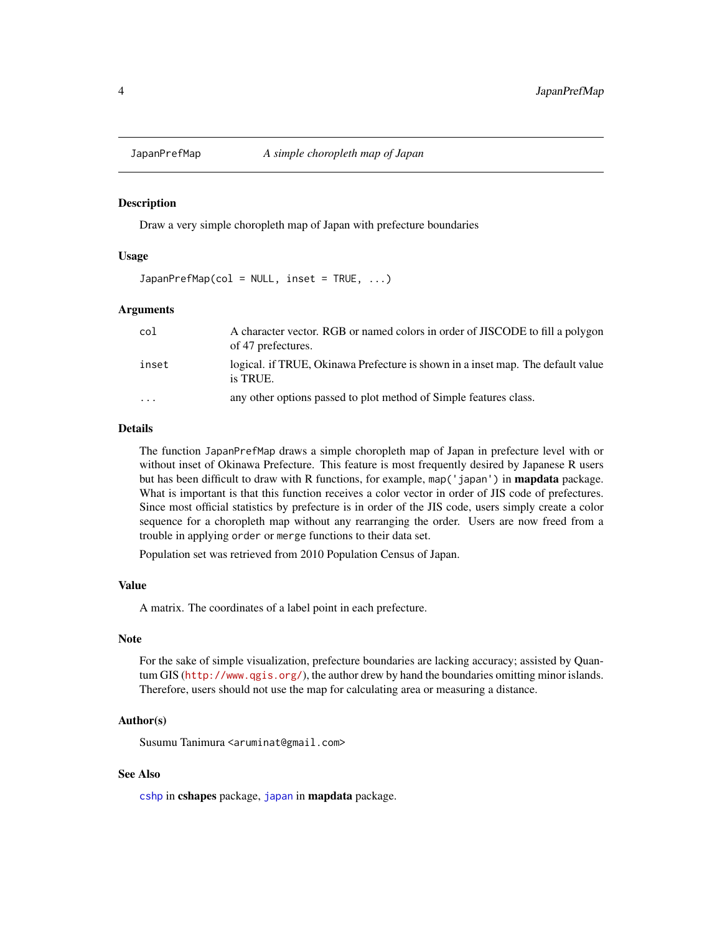<span id="page-3-0"></span>

#### Description

Draw a very simple choropleth map of Japan with prefecture boundaries

#### Usage

 $JapanPrefixMap(col = NULL, inset = TRUE, ...)$ 

#### **Arguments**

| col      | A character vector. RGB or named colors in order of JISCODE to fill a polygon<br>of 47 prefectures. |
|----------|-----------------------------------------------------------------------------------------------------|
| inset    | logical. if TRUE, Okinawa Prefecture is shown in a inset map. The default value<br>is TRUE.         |
| $\cdots$ | any other options passed to plot method of Simple features class.                                   |

#### Details

The function JapanPrefMap draws a simple choropleth map of Japan in prefecture level with or without inset of Okinawa Prefecture. This feature is most frequently desired by Japanese R users but has been difficult to draw with R functions, for example, map('japan') in **mapdata** package. What is important is that this function receives a color vector in order of JIS code of prefectures. Since most official statistics by prefecture is in order of the JIS code, users simply create a color sequence for a choropleth map without any rearranging the order. Users are now freed from a trouble in applying order or merge functions to their data set.

Population set was retrieved from 2010 Population Census of Japan.

#### Value

A matrix. The coordinates of a label point in each prefecture.

#### Note

For the sake of simple visualization, prefecture boundaries are lacking accuracy; assisted by Quantum GIS (<http://www.qgis.org/>), the author drew by hand the boundaries omitting minor islands. Therefore, users should not use the map for calculating area or measuring a distance.

#### Author(s)

Susumu Tanimura <aruminat@gmail.com>

#### See Also

[cshp](#page-0-1) in cshapes package, [japan](#page-0-1) in mapdata package.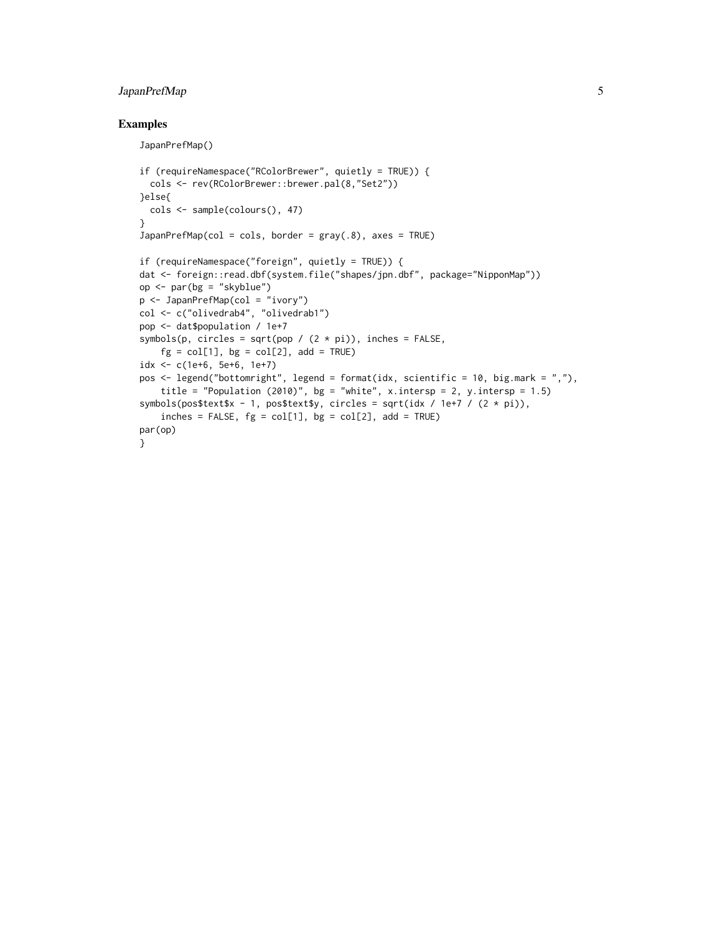#### JapanPrefMap 5

#### Examples

JapanPrefMap()

```
if (requireNamespace("RColorBrewer", quietly = TRUE)) {
  cols <- rev(RColorBrewer::brewer.pal(8,"Set2"))
}else{
  cols <- sample(colours(), 47)
}
JapanPrefixMap(col = cols, border = gray(.8), axes = TRUE)if (requireNamespace("foreign", quietly = TRUE)) {
dat <- foreign::read.dbf(system.file("shapes/jpn.dbf", package="NipponMap"))
op <- par(bg = "skyblue")
p <- JapanPrefMap(col = "ivory")
col <- c("olivedrab4", "olivedrab1")
pop <- dat$population / 1e+7
symbols(p, circles = sqrt(pop / (2 * pi)), inches = FALSE,
    fg = col[1], bg = col[2], add = TRUEidx <- c(1e+6, 5e+6, 1e+7)
pos <- legend("bottomright", legend = format(idx, scientific = 10, big.mark = ","),
    title = "Population (2010)", bg = "white", x.intersp = 2, y.intersp = 1.5)
symbols(pos$text$x - 1, pos$text$y, circles = sqrt(idx / 1e+7 / (2 * pi)),
    inches = FALSE, fg = col[1], bg = col[2], add = TRUE)par(op)
}
```